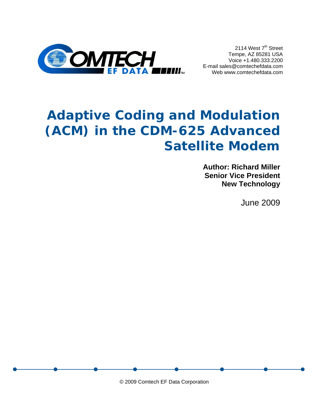

2114 West 7<sup>th</sup> Street Tempe, AZ 85281 USA Voice +1.480.333.2200 E-mail sales@comtechefdata.com Web www.comtechefdata.com

# **Adaptive Coding and Modulation (ACM) in the CDM-625 Advanced Satellite Modem**

**Author: Richard Miller Senior Vice President New Technology**

June 2009

© 2009 Comtech EF Data Corporation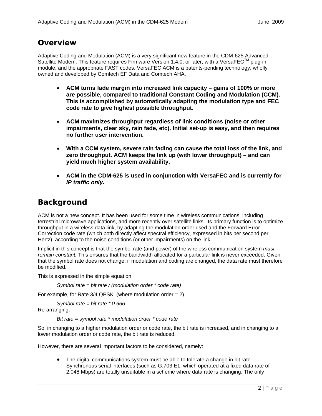## **Overview**

Adaptive Coding and Modulation (ACM) is a very significant new feature in the CDM-625 Advanced Satellite Modem. This feature requires Firmware Version 1.4.0, or later, with a VersaFEC<sup>TM</sup> plug-in module, and the appropriate FAST codes. VersaFEC ACM is a patents-pending technology, wholly owned and developed by Comtech EF Data and Comtech AHA.

- **ACM turns fade margin into increased link capacity gains of 100% or more are possible, compared to traditional Constant Coding and Modulation (CCM). This is accomplished by automatically adapting the modulation type and FEC code rate to give highest possible throughput.**
- **ACM maximizes throughput regardless of link conditions (noise or other impairments, clear sky, rain fade, etc). Initial set-up is easy, and then requires no further user intervention.**
- **With a CCM system, severe rain fading can cause the total loss of the link, and zero throughput. ACM keeps the link up (with lower throughput) – and can yield much higher system availability.**
- **ACM in the CDM-625 is used in conjunction with VersaFEC and is currently for**  *IP traffic only.*

## **Background**

ACM is not a new concept. It has been used for some time in wireless communications, including terrestrial microwave applications, and more recently over satellite links. Its primary function is to optimize throughput in a wireless data link, by adapting the modulation order used and the Forward Error Correction code rate (which both directly affect spectral efficiency, expressed in bits per second per Hertz), according to the noise conditions (or other impairments) on the link.

Implicit in this concept is that the symbol rate (and power) of the wireless communication system *must remain constant.* This ensures that the bandwidth allocated for a particular link is never exceeded. Given that the symbol rate does not change, if modulation and coding are changed, the data rate must therefore be modified.

This is expressed in the simple equation

*Symbol rate = bit rate / (modulation order \* code rate)* 

For example, for Rate  $3/4$  QPSK (where modulation order = 2)

 *Symbol rate = bit rate \* 0.666* Re-arranging:

*Bit rate = symbol rate \* modulation order \* code rate*

So, in changing to a higher modulation order or code rate, the bit rate is increased, and in changing to a lower modulation order or code rate, the bit rate is reduced.

However, there are several important factors to be considered, namely:

• The digital communications system must be able to tolerate a change in bit rate. Synchronous serial interfaces (such as G.703 E1, which operated at a fixed data rate of 2.048 Mbps) are totally unsuitable in a scheme where data rate is changing. The only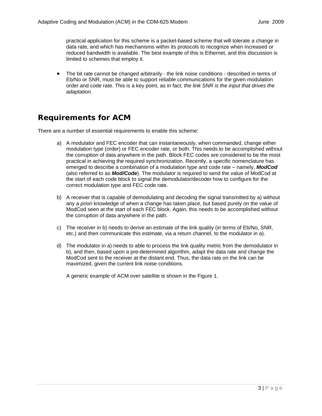practical application for this scheme is a packet-based scheme that will tolerate a change in data rate, and which has mechanisms within its protocols to recognize when increased or reduced bandwidth is available. The best example of this is Ethernet, and this discussion is limited to schemes that employ it.

• The bit rate cannot be changed arbitrarily - the link noise conditions - described in terms of Eb/No or SNR, must be able to support reliable communications for the given modulation order and code rate. This is a key point, as in fact, *the link SNR is the input that drives the adaptation.* 

## **Requirements for ACM**

There are a number of essential requirements to enable this scheme:

- a) A modulator and FEC encoder that can instantaneously, when commanded, change either modulation type (order) or FEC encoder rate, or both. This needs to be accomplished without the corruption of data anywhere in the path. Block FEC codes are considered to be the most practical in achieving the required synchronization. Recently, a specific nomenclature has emerged to describe a combination of a modulation type and code rate – namely, *ModCod*  (also referred to as *Mod/Code*). The modulator is required to send the value of ModCod at the start of each code block to signal the demodulator/decoder how to configure for the correct modulation type and FEC code rate.
- b) A receiver that is capable of demodulating and decoding the signal transmitted by a) without any *a priori* knowledge of when a change has taken place, but based purely on the value of ModCod seen at the start of each FEC block. Again, this needs to be accomplished without the corruption of data anywhere in the path.
- c) The receiver in b) needs to derive an estimate of the link quality (in terms of Eb/No, SNR, etc.) and then communicate this estimate, via a return channel, to the modulator in a).
- d) The modulator in a) needs to able to process the link quality metric from the demodulator in b), and then, based upon a pre-determined algorithm, adapt the data rate and change the ModCod sent to the receiver at the distant end. Thus, the data rate on the link can be maximized, given the current link noise conditions.

A generic example of ACM over satellite is shown in the Figure 1.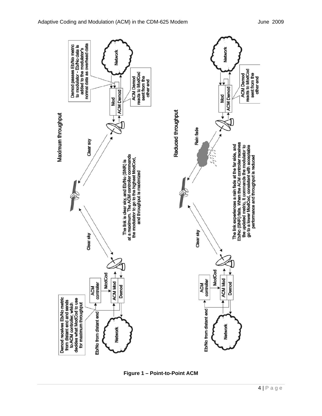

**Figure 1 – Point-to-Point ACM**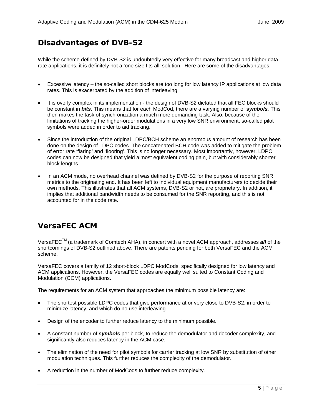## **Disadvantages of DVB-S2**

While the scheme defined by DVB-S2 is undoubtedly very effective for many broadcast and higher data rate applications, it is definitely not a 'one size fits all' solution. Here are some of the disadvantages:

- Excessive latency the so-called short blocks are too long for low latency IP applications at low data rates. This is exacerbated by the addition of interleaving.
- It is overly complex in its implementation the design of DVB-S2 dictated that all FEC blocks should be constant in *bits.* This means that for each ModCod, there are a varying number of *symbols.* This then makes the task of synchronization a much more demanding task. Also, because of the limitations of tracking the higher-order modulations in a very low SNR environment, so-called pilot symbols were added in order to aid tracking.
- Since the introduction of the original LDPC/BCH scheme an enormous amount of research has been done on the design of LDPC codes. The concatenated BCH code was added to mitigate the problem of error rate 'flaring' and 'flooring'. This is no longer necessary. Most importantly, however, LDPC codes can now be designed that yield almost equivalent coding gain, but with considerably shorter block lengths.
- In an ACM mode, no overhead channel was defined by DVB-S2 for the purpose of reporting SNR metrics to the originating end. It has been left to individual equipment manufacturers to decide their own methods. This illustrates that all ACM systems, DVB-S2 or not, are proprietary. In addition, it implies that additional bandwidth needs to be consumed for the SNR reporting, and this is not accounted for in the code rate.

## **VersaFEC ACM**

VersaFEC<sup>TM</sup> (a trademark of Comtech AHA), in concert with a novel ACM approach, addresses *all* of the shortcomings of DVB-S2 outlined above. There are patents pending for both VersaFEC and the ACM scheme.

VersaFEC covers a family of 12 short-block LDPC ModCods, specifically designed for low latency and ACM applications. However, the VersaFEC codes are equally well suited to Constant Coding and Modulation (CCM) applications.

The requirements for an ACM system that approaches the minimum possible latency are:

- The shortest possible LDPC codes that give performance at or very close to DVB-S2, in order to minimize latency, and which do no use interleaving.
- Design of the encoder to further reduce latency to the minimum possible.
- A constant number of *symbols* per block, to reduce the demodulator and decoder complexity, and significantly also reduces latency in the ACM case.
- The elimination of the need for pilot symbols for carrier tracking at low SNR by substitution of other modulation techniques. This further reduces the complexity of the demodulator.
- A reduction in the number of ModCods to further reduce complexity.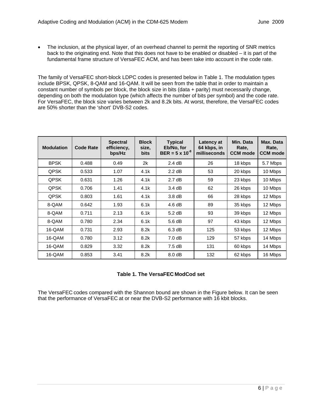• The inclusion, at the physical layer, of an overhead channel to permit the reporting of SNR metrics back to the originating end. Note that this does not have to be enabled or disabled – it is part of the fundamental frame structure of VersaFEC ACM, and has been take into account in the code rate.

The family of VersaFEC short-block LDPC codes is presented below in Table 1. The modulation types include BPSK, QPSK, 8-QAM and 16-QAM. It will be seen from the table that in order to maintain a constant number of symbols per block, the block size in bits (data + parity) must necessarily change, depending on both the modulation type (which affects the number of bits per symbol) and the code rate. For VersaFEC, the block size varies between 2k and 8.2k bits. At worst, therefore, the VersaFEC codes are 50% shorter than the 'short' DVB-S2 codes.

| <b>Modulation</b> | <b>Code Rate</b> | <b>Spectral</b><br>efficiency,<br>bps/Hz | <b>Block</b><br>size,<br><b>bits</b> | <b>Typical</b><br>Eb/No, for<br>$BER = 5 \times 10^{-8}$ | Latency at<br>64 kbps, in<br>milliseconds | Min. Data<br>Rate,<br><b>CCM</b> mode | Max. Data<br>Rate,<br><b>CCM</b> mode |
|-------------------|------------------|------------------------------------------|--------------------------------------|----------------------------------------------------------|-------------------------------------------|---------------------------------------|---------------------------------------|
| <b>BPSK</b>       | 0.488            | 0.49                                     | 2k                                   | 2.4 dB                                                   | 26                                        | 18 kbps                               | 5.7 Mbps                              |
| QPSK              | 0.533            | 1.07                                     | 4.1k                                 | $2.2$ dB                                                 | 53                                        | 20 kbps                               | 10 Mbps                               |
| QPSK              | 0.631            | 1.26                                     | 4.1k                                 | $2.7 \text{ dB}$                                         | 59                                        | 23 kbps                               | 10 Mbps                               |
| QPSK              | 0.706            | 1.41                                     | 4.1k                                 | $3.4 \text{ dB}$                                         | 62                                        | 26 kbps                               | 10 Mbps                               |
| QPSK              | 0.803            | 1.61                                     | 4.1k                                 | $3.8\,\mathrm{dB}$                                       | 66                                        | 28 kbps                               | 12 Mbps                               |
| 8-QAM             | 0.642            | 1.93                                     | 6.1k                                 | $4.6 \text{ dB}$                                         | 89                                        | 35 kbps                               | 12 Mbps                               |
| 8-QAM             | 0.711            | 2.13                                     | 6.1k                                 | $5.2$ dB                                                 | 93                                        | 39 kbps                               | 12 Mbps                               |
| 8-QAM             | 0.780            | 2.34                                     | 6.1k                                 | 5.6 dB                                                   | 97                                        | 43 kbps                               | 12 Mbps                               |
| 16-QAM            | 0.731            | 2.93                                     | 8.2k                                 | 6.3 dB                                                   | 125                                       | 53 kbps                               | 12 Mbps                               |
| 16-QAM            | 0.780            | 3.12                                     | 8.2k                                 | 7.0 dB                                                   | 129                                       | 57 kbps                               | 14 Mbps                               |
| 16-QAM            | 0.829            | 3.32                                     | 8.2k                                 | 7.5dB                                                    | 131                                       | 60 kbps                               | 14 Mbps                               |
| 16-QAM            | 0.853            | 3.41                                     | 8.2k                                 | 8.0 <sub>d</sub> B                                       | 132                                       | 62 kbps                               | 16 Mbps                               |

#### **Table 1. The VersaFEC ModCod set**

The VersaFEC codes compared with the Shannon bound are shown in the Figure below. It can be seen that the performance of VersaFEC at or near the DVB-S2 performance with 16 kbit blocks.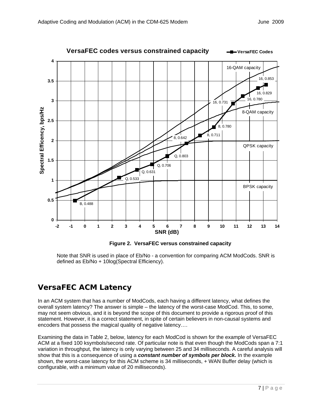

**Figure 2. VersaFEC versus constrained capacity** 

Note that SNR is used in place of Eb/No - a convention for comparing ACM ModCods. SNR is defined as Eb/No + 10log(Spectral Efficiency).

## **VersaFEC ACM Latency**

In an ACM system that has a number of ModCods, each having a different latency, what defines the overall system latency? The answer is simple – the latency of the worst-case ModCod. This, to some, may not seem obvious, and it is beyond the scope of this document to provide a rigorous proof of this statement. However, it is a correct statement, in spite of certain believers in non-causal systems and encoders that possess the magical quality of negative latency….

Examining the data in Table 2, below, latency for each ModCod is shown for the example of VersaFEC ACM at a fixed 100 ksymbols/second rate. Of particular note is that even though the ModCods span a 7:1 variation in throughput, the latency is only varying between 25 and 34 milliseconds. A careful analysis will show that this is a consequence of using a *constant number of symbols per block.* In the example shown, the worst-case latency for this ACM scheme is 34 milliseconds, + WAN Buffer delay (which is configurable, with a minimum value of 20 milliseconds).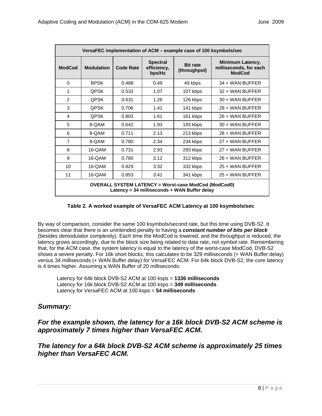| VersaFEC implementation of ACM - example case of 100 ksymbols/sec                                           |                   |           |                                          |                                 |                                                                    |  |  |
|-------------------------------------------------------------------------------------------------------------|-------------------|-----------|------------------------------------------|---------------------------------|--------------------------------------------------------------------|--|--|
| <b>ModCod</b>                                                                                               | <b>Modulation</b> | Code Rate | <b>Spectral</b><br>efficiency,<br>bps/Hz | <b>Bit rate</b><br>(throughput) | <b>Minimum Latency,</b><br>milliseconds, for each<br><b>ModCod</b> |  |  |
| $\Omega$                                                                                                    | <b>BPSK</b>       | 0.488     | 0.49                                     | 49 kbps                         | $34 +$ WAN BUFFER                                                  |  |  |
| 1                                                                                                           | <b>QPSK</b>       | 0.533     | 1.07                                     | 107 kbps                        | 32 + WAN BUFFER                                                    |  |  |
| 2                                                                                                           | <b>QPSK</b>       | 0.631     | 1.26                                     | 126 kbps                        | $30 + WAN$ BUFFER                                                  |  |  |
| 3                                                                                                           | <b>QPSK</b>       | 0.706     | 1.41                                     | 141 kbps                        | 28 + WAN BUFFER                                                    |  |  |
| 4                                                                                                           | <b>QPSK</b>       | 0.803     | 1.61                                     | 161 kbps                        | 26 + WAN BUFFER                                                    |  |  |
| 5                                                                                                           | 8-QAM             | 0.642     | 1.93                                     | 193 kbps                        | $30 + WAN$ BUFFER                                                  |  |  |
| 6                                                                                                           | 8-QAM             | 0.711     | 2.13                                     | 213 kbps                        | $28 + WAN$ BUFFER                                                  |  |  |
| $\overline{7}$                                                                                              | 8-QAM             | 0.780     | 2.34                                     | 234 kbps                        | $27 +$ WAN BUFFER                                                  |  |  |
| 8                                                                                                           | 16-QAM            | 0.731     | 2.93                                     | 293 kbps                        | $27 +$ WAN BUFFER                                                  |  |  |
| 9                                                                                                           | 16-QAM            | 0.780     | 3.12                                     | 312 kbps                        | $26 +$ WAN BUFFER                                                  |  |  |
| 10                                                                                                          | 16-QAM            | 0.829     | 3.32                                     | 332 kbps                        | 25 + WAN BUFFER                                                    |  |  |
| 11                                                                                                          | 16-QAM            | 0.853     | 3.41                                     | 341 kbps                        | $25 +$ WAN BUFFER                                                  |  |  |
| <b>OVERALL SYSTEM LATENCY = Worst-case ModCod (ModCod0)</b><br>Latency = 34 milliseconds + WAN Buffer delay |                   |           |                                          |                                 |                                                                    |  |  |

#### **Table 2. A worked example of VersaFEC ACM Latency at 100 ksymbols/sec**

By way of comparison, consider the same 100 ksymbols/second rate, but this time using DVB-S2. It becomes clear that there is an unintended penalty to having a *constant number of bits per block* (besides demodulator complexity). Each time the ModCod is lowered, and the throughput is reduced, the latency grows accordingly, due to the block size being related to data rate, not symbol rate. Remembering that, for the ACM case, the system latency is equal to the latency of the worst-case ModCod, DVB-S2 shows a severe penalty. For 16k short blocks, this calculates to be 329 milliseconds (+ WAN Buffer delay) versus 34 milliseconds (+ WAN Buffer delay) for VersaFEC ACM. For 64k block DVB-S2, the core latency is 4 times higher. Assuming a WAN Buffer of 20 milliseconds:

Latency for 64k block DVB-S2 ACM at 100 ksps = **1336 milliseconds** Latency for 16k block DVB-S2 ACM at 100 ksps = **349 milliseconds** Latency for VersaFEC ACM at 100 ksps = **54 milliseconds** 

## *Summary:*

## *For the example shown, the latency for a 16k block DVB-S2 ACM scheme is approximately 7 times higher than VersaFEC ACM.*

## *The latency for a 64k block DVB-S2 ACM scheme is approximately 25 times higher than VersaFEC ACM.*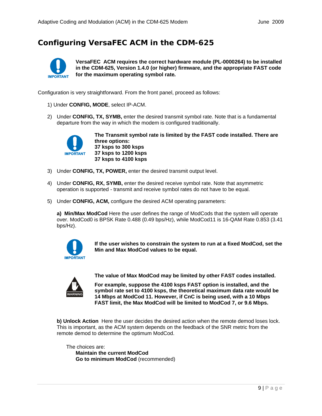# **Configuring VersaFEC ACM in the CDM-625**



**VersaFEC ACM requires the correct hardware module (PL-0000264) to be installed in the CDM-625, Version 1.4.0 (or higher) firmware, and the appropriate FAST code for the maximum operating symbol rate***.*

Configuration is very straightforward. From the front panel, proceed as follows:

- 1) Under **CONFIG, MODE**, select IP-ACM.
- 2) Under **CONFIG, TX, SYMB,** enter the desired transmit symbol rate. Note that is a fundamental departure from the way in which the modem is configured traditionally.



**The Transmit symbol rate is limited by the FAST code installed. There are three options: 37 ksps to 300 ksps 37 ksps to 1200 ksps 37 ksps to 4100 ksps**

- 3) Under **CONFIG, TX, POWER,** enter the desired transmit output level.
- 4) Under **CONFIG, RX, SYMB,** enter the desired receive symbol rate. Note that asymmetric operation is supported - transmit and receive symbol rates do not have to be equal.
- 5) Under **CONFIG, ACM,** configure the desired ACM operating parameters:

**a) Min/Max ModCod** Here the user defines the range of ModCods that the system will operate over. ModCod0 is BPSK Rate 0.488 (0.49 bps/Hz), while ModCod11 is 16-QAM Rate 0.853 (3.41 bps/Hz).



**If the user wishes to constrain the system to run at a fixed ModCod, set the Min and Max ModCod values to be equal.**



**The value of Max ModCod may be limited by other FAST codes installed.** 

**For example, suppose the 4100 ksps FAST option is installed, and the symbol rate set to 4100 ksps, the theoretical maximum data rate would be 14 Mbps at ModCod 11. However, if CnC is being used, with a 10 Mbps FAST limit, the Max ModCod will be limited to ModCod 7, or 9.6 Mbps.** 

**b) Unlock Action** Here the user decides the desired action when the remote demod loses lock. This is important, as the ACM system depends on the feedback of the SNR metric from the remote demod to determine the optimum ModCod.

The choices are: **Maintain the current ModCod Go to minimum ModCod** (recommended)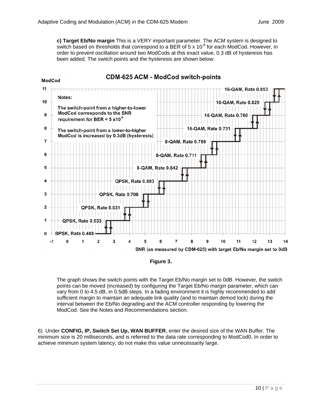**ModCod** 

**c) Target Eb/No margin** This is a VERY important parameter. The ACM system is designed to switch based on thresholds that correspond to a BER of 5 x 10 $^8$  for each ModCod. However, in order to prevent oscillation around two ModCods at this exact value, 0.3 dB of hysteresis has been added. The switch points and the hysteresis are shown below:

#### **CDM-625 ACM - ModCod switch-points**



**Figure 3.** 

The graph shows the switch points with the Target Eb/No margin set to 0dB. However, the switch points can be moved (increased) by configuring the Target Eb/No margin parameter, which can vary from 0 to 4.5 dB, in 0.5dB steps. In a fading environment it is highly recommended to add sufficient margin to maintain an adequate link quality (and to maintain demod lock) during the interval between the Eb/No degrading and the ACM controller responding by lowering the ModCod. See the Notes and Recommendations section.

6) Under **CONFIG, IP, Switch Set Up, WAN BUFFER**, enter the desired size of the WAN Buffer. The minimum size is 20 milliseconds, and is referred to the data rate corresponding to ModCod0. In order to achieve minimum system latency, do not make this value unnecessarily large.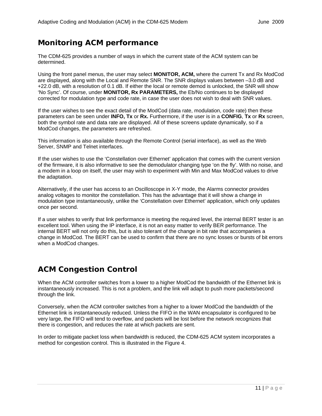## **Monitoring ACM performance**

The CDM-625 provides a number of ways in which the current state of the ACM system can be determined.

Using the front panel menus, the user may select **MONITOR, ACM,** where the current Tx and Rx ModCod are displayed, along with the Local and Remote SNR. The SNR displays values between –3.0 dB and +22.0 dB, with a resolution of 0.1 dB. If either the local or remote demod is unlocked, the SNR will show 'No Sync'. Of course, under **MONITOR, Rx PARAMETERS,** the Eb/No continues to be displayed corrected for modulation type and code rate, in case the user does not wish to deal with SNR values.

If the user wishes to see the exact detail of the ModCod (data rate, modulation, code rate) then these parameters can be seen under **INFO, Tx** or **Rx.** Furthermore, if the user is in a **CONFIG**, **Tx** or **Rx** screen, both the symbol rate and data rate are displayed. All of these screens update dynamically, so if a ModCod changes, the parameters are refreshed.

This information is also available through the Remote Control (serial interface), as well as the Web Server, SNMP and Telnet interfaces.

If the user wishes to use the 'Constellation over Ethernet' application that comes with the current version of the firmware, it is also informative to see the demodulator changing type 'on the fly'. With no noise, and a modem in a loop on itself, the user may wish to experiment with Min and Max ModCod values to drive the adaptation.

Alternatively, if the user has access to an Oscilloscope in X-Y mode, the Alarms connector provides analog voltages to monitor the constellation. This has the advantage that it will show a change in modulation type instantaneously, unlike the 'Constellation over Ethernet' application, which only updates once per second.

If a user wishes to verify that link performance is meeting the required level, the internal BERT tester is an excellent tool. When using the IP interface, it is not an easy matter to verify BER performance. The internal BERT will not only do this, but is also tolerant of the change in bit rate that accompanies a change in ModCod. The BERT can be used to confirm that there are no sync losses or bursts of bit errors when a ModCod changes.

## **ACM Congestion Control**

When the ACM controller switches from a lower to a higher ModCod the bandwidth of the Ethernet link is instantaneously increased. This is not a problem, and the link will adapt to push more packets/second through the link.

Conversely, when the ACM controller switches from a higher to a lower ModCod the bandwidth of the Ethernet link is instantaneously reduced. Unless the FIFO in the WAN encapsulator is configured to be very large, the FIFO will tend to overflow, and packets will be lost before the network recognizes that there is congestion, and reduces the rate at which packets are sent.

In order to mitigate packet loss when bandwidth is reduced, the CDM-625 ACM system incorporates a method for congestion control. This is illustrated in the Figure 4.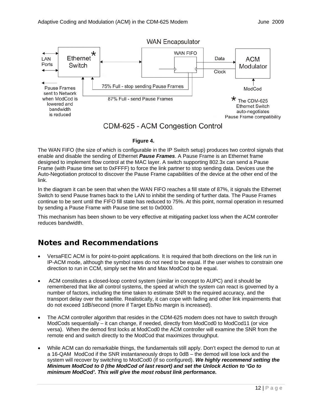

#### **Figure 4.**

The WAN FIFO (the size of which is configurable in the IP Switch setup) produces two control signals that enable and disable the sending of Ethernet *Pause Frames*. A Pause Frame is an Ethernet frame designed to implement flow control at the MAC layer. A switch supporting 802.3x can send a Pause Frame (with Pause time set to 0xFFFF) to force the link partner to stop sending data. Devices use the Auto-Negotiation protocol to discover the Pause Frame capabilities of the device at the other end of the link.

In the diagram it can be seen that when the WAN FIFO reaches a fill state of 87%, it signals the Ethernet Switch to send Pause frames back to the LAN to inhibit the sending of further data. The Pause Frames continue to be sent until the FIFO fill state has reduced to 75%. At this point, normal operation in resumed by sending a Pause Frame with Pause time set to 0x0000.

This mechanism has been shown to be very effective at mitigating packet loss when the ACM controller reduces bandwidth.

## **Notes and Recommendations**

- VersaFEC ACM is for point-to-point applications. It is required that both directions on the link run in IP-ACM mode, although the symbol rates do not need to be equal. If the user wishes to constrain one direction to run in CCM, simply set the Min and Max ModCod to be equal.
- ACM constitutes a closed-loop control system (similar in concept to AUPC) and it should be remembered that like all control systems, the speed at which the system can react is governed by a number of factors, including the time taken to estimate SNR to the required accuracy, and the transport delay over the satellite. Realistically, it can cope with fading and other link impairments that do not exceed 1dB/second (more if Target Eb/No margin is increased).
- The ACM controller algorithm that resides in the CDM-625 modem does not have to switch through ModCods sequentially – it can change, if needed, directly from ModCod0 to ModCod11 (or vice versa). When the demod first locks at ModCod0 the ACM controller will examine the SNR from the remote end and switch directly to the ModCod that maximizes throughput.
- While ACM can do remarkable things, the fundamentals still apply. Don't expect the demod to run at a 16-QAM ModCod if the SNR instantaneously drops to 0dB – the demod will lose lock and the system will recover by switching to ModCod0 (if so configured). *We highly recommend setting the Minimum ModCod to 0 (the ModCod of last resort) and set the Unlock Action to 'Go to minimum ModCod'. This will give the most robust link performance.*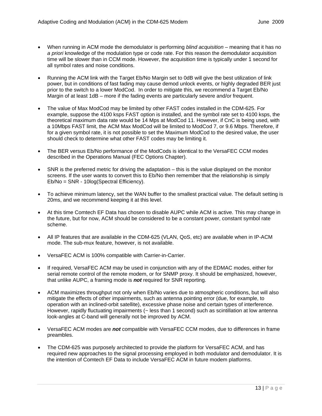- When running in ACM mode the demodulator is performing *blind acquisition* meaning that it has no *a priori* knowledge of the modulation type or code rate. For this reason the demodulator acquisition time will be slower than in CCM mode. However, the acquisition time is typically under 1 second for all symbol rates and noise conditions.
- Running the ACM link with the Target Eb/No Margin set to 0dB will give the best utilization of link power, but in conditions of fast fading may cause demod unlock events, or highly degraded BER just prior to the switch to a lower ModCod. In order to mitigate this, we recommend a Target Eb/No Margin of at least 1dB – more if the fading events are particularly severe and/or frequent.
- The value of Max ModCod may be limited by other FAST codes installed in the CDM-625. For example, suppose the 4100 ksps FAST option is installed, and the symbol rate set to 4100 ksps, the theoretical maximum data rate would be 14 Mps at ModCod 11. However, if CnC is being used, with a 10Mbps FAST limit, the ACM Max ModCod will be limited to ModCod 7, or 9.6 Mbps. Therefore, if for a given symbol rate, it is not possible to set the Maximum ModCod to the desired value, the user should check to determine what other FAST codes may be limiting it.
- The BER versus Eb/No performance of the ModCods is identical to the VersaFEC CCM modes described in the Operations Manual (FEC Options Chapter).
- SNR is the preferred metric for driving the adaptation this is the value displayed on the monitor screens. If the user wants to convert this to Eb/No then remember that the relationship is simply Eb/No = SNR - 10log(Spectral Efficiency).
- To achieve minimum latency, set the WAN buffer to the smallest practical value. The default setting is 20ms, and we recommend keeping it at this level.
- At this time Comtech EF Data has chosen to disable AUPC while ACM is active. This may change in the future, but for now, ACM should be considered to be a constant power, constant symbol rate scheme.
- All IP features that are available in the CDM-625 (VLAN, QoS, etc) are available when in IP-ACM mode. The sub-mux feature, however, is not available.
- VersaFEC ACM is 100% compatible with Carrier-in-Carrier.
- If required, VersaFEC ACM may be used in conjunction with any of the EDMAC modes, either for serial remote control of the remote modem, or for SNMP proxy. It should be emphasized, however, that unlike AUPC, a framing mode is *not* required for SNR reporting.
- ACM maximizes throughput not only when Eb/No varies due to atmospheric conditions, but will also mitigate the effects of other impairments, such as antenna pointing error (due, for example, to operation with an inclined-orbit satellite), excessive phase noise and certain types of interference. However, rapidly fluctuating impairments (~ less than 1 second) such as scintillation at low antenna look-angles at C-band will generally not be improved by ACM.
- VersaFEC ACM modes are *not* compatible with VersaFEC CCM modes, due to differences in frame preambles.
- The CDM-625 was purposely architected to provide the platform for VersaFEC ACM, and has required new approaches to the signal processing employed in both modulator and demodulator. It is the intention of Comtech EF Data to include VersaFEC ACM in future modem platforms.